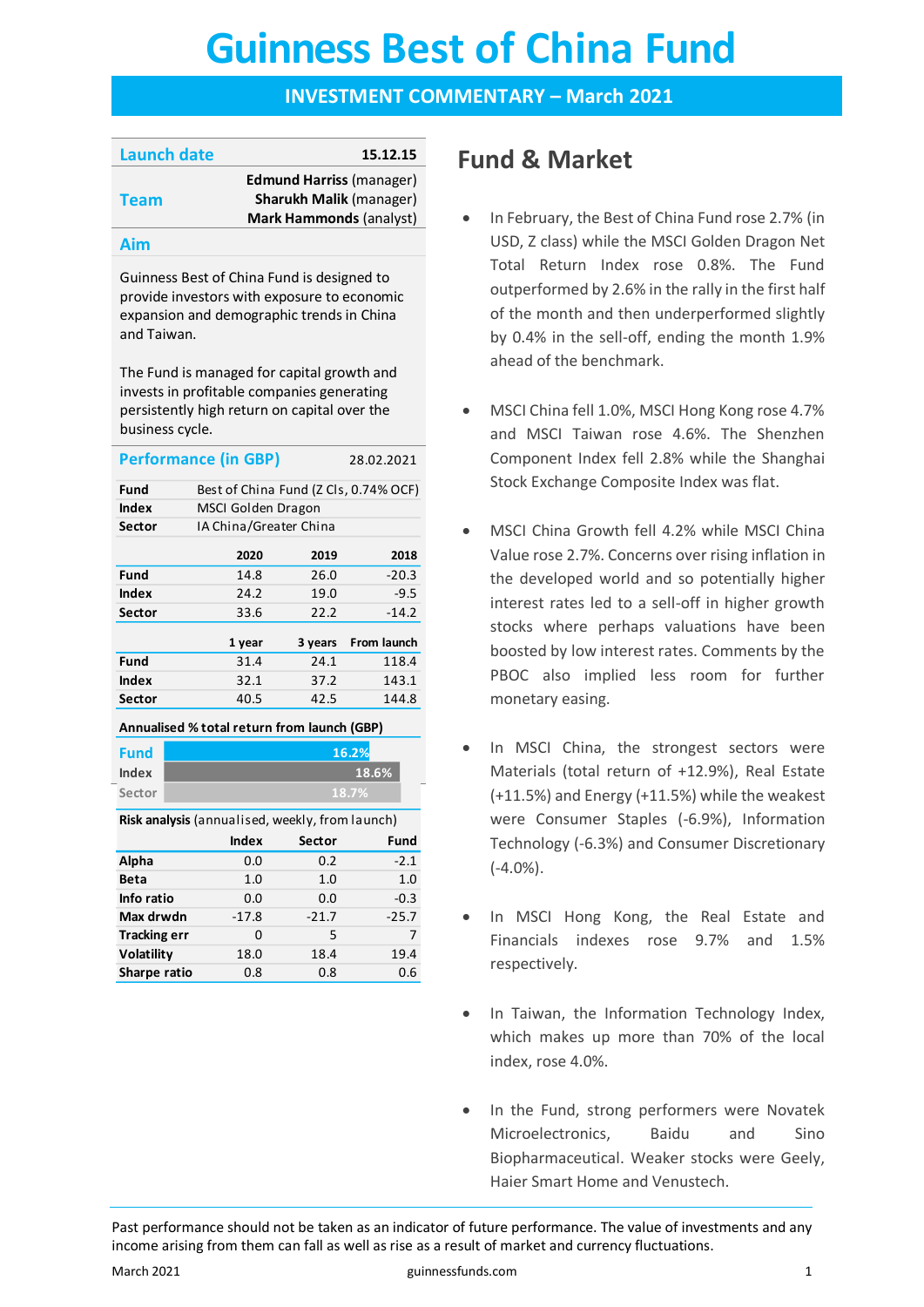# **Guinness Best of China Fund Guinness Best of China Fund**

#### **INVESTMENT COMMENTARY – March 2021**

| <b>Launch date</b> | 15.12.15                        |
|--------------------|---------------------------------|
|                    | <b>Edmund Harriss (manager)</b> |
| <b>Team</b>        | Sharukh Malik (manager)         |
|                    | <b>Mark Hammonds (analyst)</b>  |
|                    |                                 |

#### **Aim**

Guinness Best of China Fund is designed to provide investors with exposure to economic expansion and demographic trends in China and Taiwan.

The Fund is managed for capital growth and invests in profitable companies generating persistently high return on capital over the business cycle.

|                                             | <b>Performance (in GBP)</b>           |                        | 28.02.2021  |  |  |  |
|---------------------------------------------|---------------------------------------|------------------------|-------------|--|--|--|
| Fund                                        | Best of China Fund (Z Cls, 0.74% OCF) |                        |             |  |  |  |
| Index                                       | MSCI Golden Dragon                    |                        |             |  |  |  |
| Sector                                      |                                       | IA China/Greater China |             |  |  |  |
|                                             | 2020                                  | 2019                   | 2018        |  |  |  |
| Fund                                        | 14.8                                  | 26.0                   | $-20.3$     |  |  |  |
| Index                                       | 24.2                                  | 19.0                   | $-9.5$      |  |  |  |
| Sector                                      | 33.6                                  | 22.2                   | $-14.2$     |  |  |  |
|                                             | 1 year                                | 3 years                | From launch |  |  |  |
| Fund                                        | 31.4                                  | 24.1                   | 118.4       |  |  |  |
| Index                                       | 32.1                                  | 37.2                   | 143.1       |  |  |  |
| Sector                                      | 40.5                                  | 42.5                   | 144.8       |  |  |  |
| Annualised % total return from launch (GBP) |                                       |                        |             |  |  |  |

Annualised % total return from la **Annualised % total return from launch (GBP)**

| Fund   |  |
|--------|--|
| Index  |  |
| Sector |  |

**Risk analysis** (annualised, weekly, from launch)

**18.7%**

**18.6% 16.2%**

|                     | <b>Index</b> | Sector  | Fund    |
|---------------------|--------------|---------|---------|
| Alpha               | 0.0          | 0.2     | $-2.1$  |
| Beta                | 1.0          | 1.0     | 1.0     |
| Info ratio          | 0.0          | 0.0     | $-0.3$  |
| Max drwdn           | $-17.8$      | $-21.7$ | $-25.7$ |
| <b>Tracking err</b> | 0            | 5       | 7       |
| Volatility          | 18.0         | 18.4    | 19.4    |
| Sharpe ratio        | 0.8          | 0.8     | 0.6     |

# **Fund & Market**

- In February, the Best of China Fund rose 2.7% (in USD, Z class) while the MSCI Golden Dragon Net Total Return Index rose 0.8%. The Fund outperformed by 2.6% in the rally in the first half of the month and then underperformed slightly by 0.4% in the sell-off, ending the month 1.9% ahead of the benchmark.
- MSCI China fell 1.0%, MSCI Hong Kong rose 4.7% and MSCI Taiwan rose 4.6%. The Shenzhen Component Index fell 2.8% while the Shanghai Stock Exchange Composite Index was flat.
- MSCI China Growth fell 4.2% while MSCI China Value rose 2.7%. Concerns over rising inflation in the developed world and so potentially higher interest rates led to a sell-off in higher growth stocks where perhaps valuations have been boosted by low interest rates. Comments by the PBOC also implied less room for further monetary easing.
- In MSCI China, the strongest sectors were Materials (total return of +12.9%), Real Estate (+11.5%) and Energy (+11.5%) while the weakest were Consumer Staples (-6.9%), Information Technology (-6.3%) and Consumer Discretionary (-4.0%).
- In MSCI Hong Kong, the Real Estate and Financials indexes rose 9.7% and 1.5% respectively.
- In Taiwan, the Information Technology Index, which makes up more than 70% of the local index, rose 4.0%.
- In the Fund, strong performers were Novatek Microelectronics, Baidu and Sino Biopharmaceutical. Weaker stocks were Geely, Haier Smart Home and Venustech.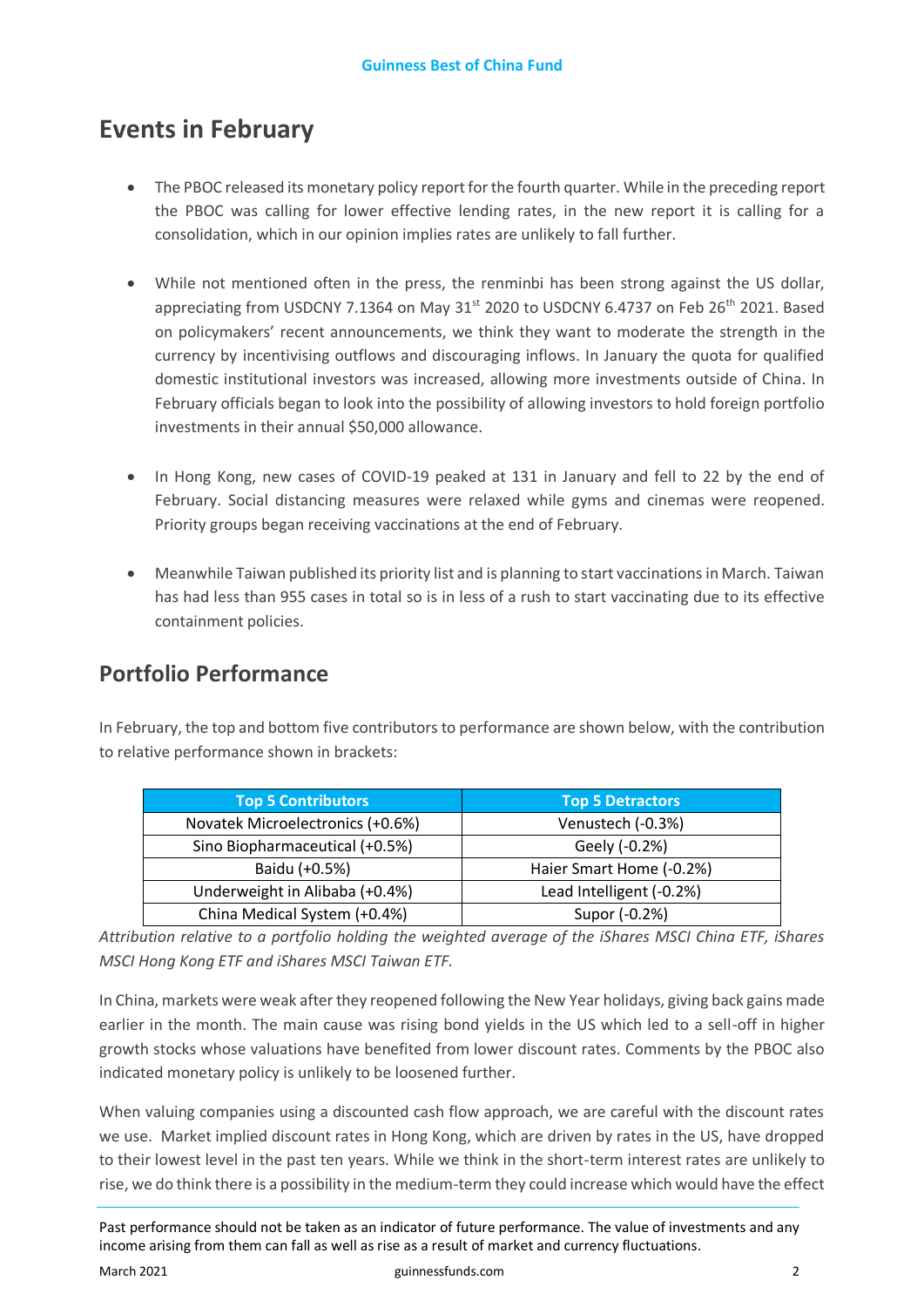# **Events in February**

- The PBOC released its monetary policy report for the fourth quarter. While in the preceding report the PBOC was calling for lower effective lending rates, in the new report it is calling for a consolidation, which in our opinion implies rates are unlikely to fall further.
- While not mentioned often in the press, the renminbi has been strong against the US dollar, appreciating from USDCNY 7.1364 on May 31<sup>st</sup> 2020 to USDCNY 6.4737 on Feb 26<sup>th</sup> 2021. Based on policymakers' recent announcements, we think they want to moderate the strength in the currency by incentivising outflows and discouraging inflows. In January the quota for qualified domestic institutional investors was increased, allowing more investments outside of China. In February officials began to look into the possibility of allowing investors to hold foreign portfolio investments in their annual \$50,000 allowance.
- In Hong Kong, new cases of COVID-19 peaked at 131 in January and fell to 22 by the end of February. Social distancing measures were relaxed while gyms and cinemas were reopened. Priority groups began receiving vaccinations at the end of February.
- Meanwhile Taiwan published its priority list and is planning to start vaccinations in March. Taiwan has had less than 955 cases in total so is in less of a rush to start vaccinating due to its effective containment policies.

### **Portfolio Performance**

In February, the top and bottom five contributors to performance are shown below, with the contribution to relative performance shown in brackets:

| <b>Top 5 Contributors</b>        | <b>Top 5 Detractors</b>  |
|----------------------------------|--------------------------|
| Novatek Microelectronics (+0.6%) | Venustech (-0.3%)        |
| Sino Biopharmaceutical (+0.5%)   | Geely (-0.2%)            |
| Baidu (+0.5%)                    | Haier Smart Home (-0.2%) |
| Underweight in Alibaba (+0.4%)   | Lead Intelligent (-0.2%) |
| China Medical System (+0.4%)     | Supor (-0.2%)            |

*Attribution relative to a portfolio holding the weighted average of the iShares MSCI China ETF, iShares MSCI Hong Kong ETF and iShares MSCI Taiwan ETF.* 

In China, markets were weak after they reopened following the New Year holidays, giving back gains made earlier in the month. The main cause was rising bond yields in the US which led to a sell-off in higher growth stocks whose valuations have benefited from lower discount rates. Comments by the PBOC also indicated monetary policy is unlikely to be loosened further.

When valuing companies using a discounted cash flow approach, we are careful with the discount rates we use. Market implied discount rates in Hong Kong, which are driven by rates in the US, have dropped to their lowest level in the past ten years. While we think in the short-term interest rates are unlikely to rise, we do think there is a possibility in the medium-term they could increase which would have the effect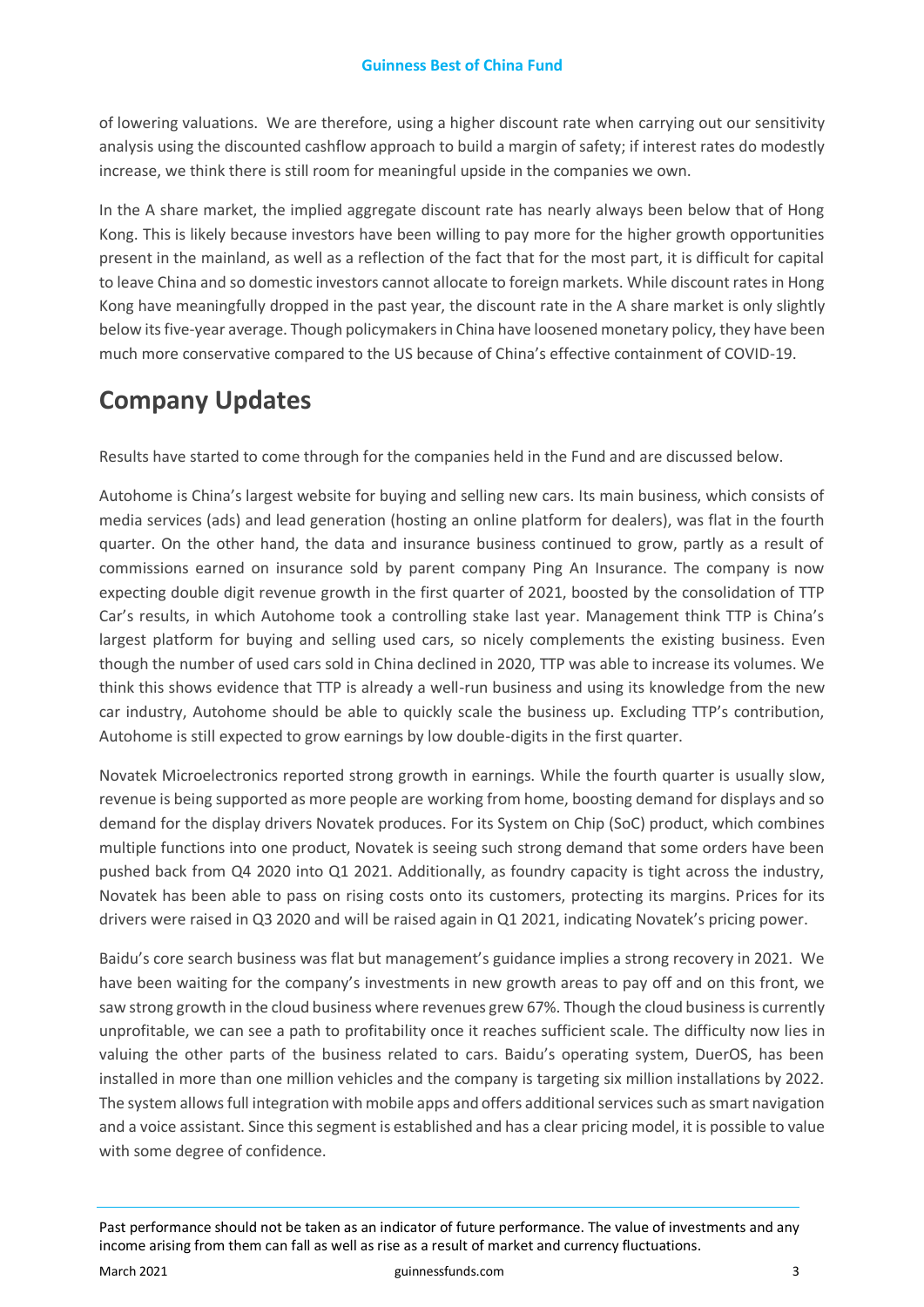of lowering valuations. We are therefore, using a higher discount rate when carrying out our sensitivity analysis using the discounted cashflow approach to build a margin of safety; if interest rates do modestly increase, we think there is still room for meaningful upside in the companies we own.

In the A share market, the implied aggregate discount rate has nearly always been below that of Hong Kong. This is likely because investors have been willing to pay more for the higher growth opportunities present in the mainland, as well as a reflection of the fact that for the most part, it is difficult for capital to leave China and so domestic investors cannot allocate to foreign markets. While discount rates in Hong Kong have meaningfully dropped in the past year, the discount rate in the A share market is only slightly below its five-year average. Though policymakers in China have loosened monetary policy, they have been much more conservative compared to the US because of China's effective containment of COVID-19.

# **Company Updates**

Results have started to come through for the companies held in the Fund and are discussed below.

Autohome is China's largest website for buying and selling new cars. Its main business, which consists of media services (ads) and lead generation (hosting an online platform for dealers), was flat in the fourth quarter. On the other hand, the data and insurance business continued to grow, partly as a result of commissions earned on insurance sold by parent company Ping An Insurance. The company is now expecting double digit revenue growth in the first quarter of 2021, boosted by the consolidation of TTP Car's results, in which Autohome took a controlling stake last year. Management think TTP is China's largest platform for buying and selling used cars, so nicely complements the existing business. Even though the number of used cars sold in China declined in 2020, TTP was able to increase its volumes. We think this shows evidence that TTP is already a well-run business and using its knowledge from the new car industry, Autohome should be able to quickly scale the business up. Excluding TTP's contribution, Autohome is still expected to grow earnings by low double-digits in the first quarter.

Novatek Microelectronics reported strong growth in earnings. While the fourth quarter is usually slow, revenue is being supported as more people are working from home, boosting demand for displays and so demand for the display drivers Novatek produces. For its System on Chip (SoC) product, which combines multiple functions into one product, Novatek is seeing such strong demand that some orders have been pushed back from Q4 2020 into Q1 2021. Additionally, as foundry capacity is tight across the industry, Novatek has been able to pass on rising costs onto its customers, protecting its margins. Prices for its drivers were raised in Q3 2020 and will be raised again in Q1 2021, indicating Novatek's pricing power.

Baidu's core search business was flat but management's guidance implies a strong recovery in 2021. We have been waiting for the company's investments in new growth areas to pay off and on this front, we saw strong growth in the cloud business where revenues grew 67%. Though the cloud business is currently unprofitable, we can see a path to profitability once it reaches sufficient scale. The difficulty now lies in valuing the other parts of the business related to cars. Baidu's operating system, DuerOS, has been installed in more than one million vehicles and the company is targeting six million installations by 2022. The system allows full integration with mobile apps and offers additional services such as smart navigation and a voice assistant. Since this segment is established and has a clear pricing model, it is possible to value with some degree of confidence.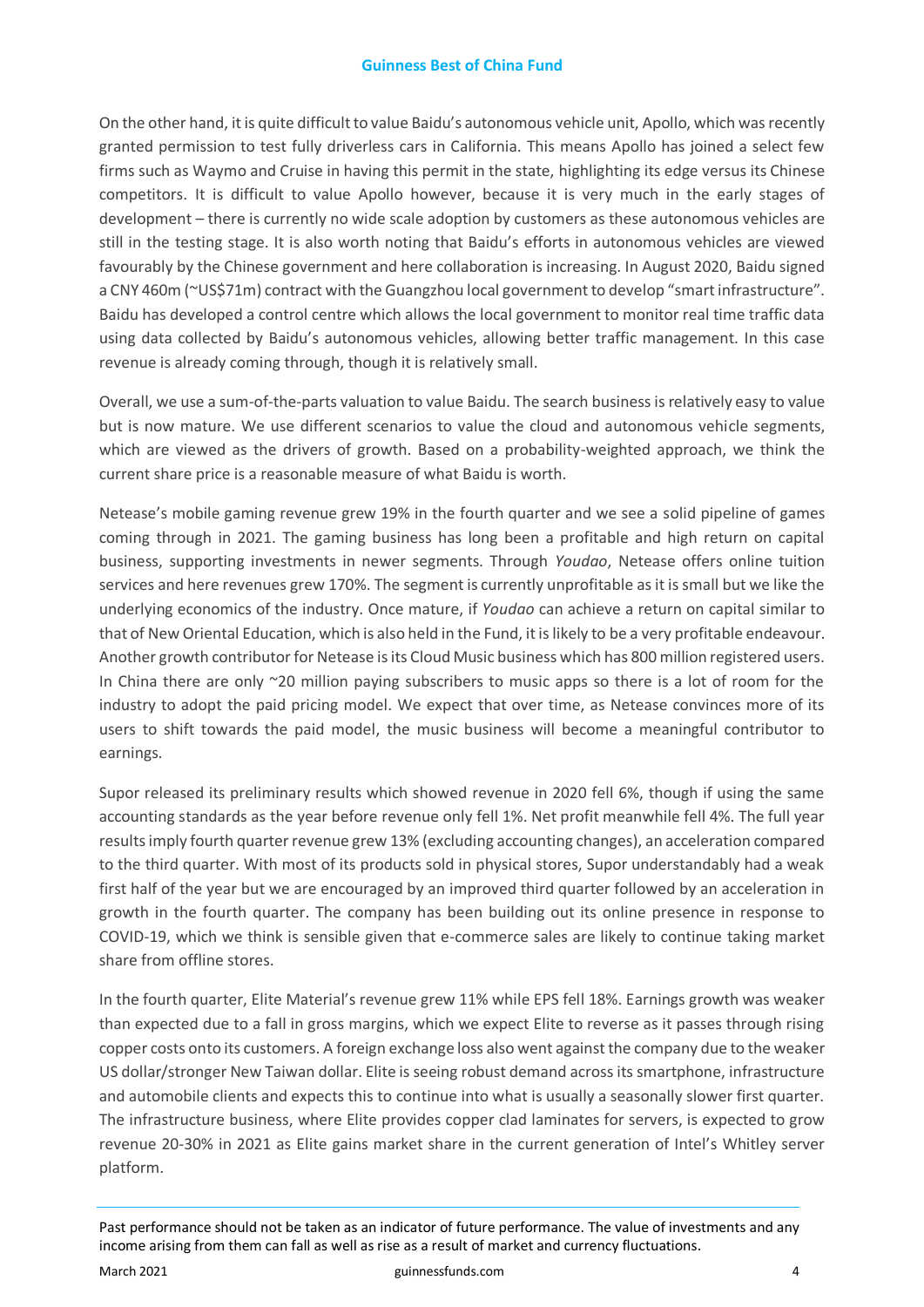#### **Guinness Best of China Fund**

On the other hand, it is quite difficult to value Baidu's autonomous vehicle unit, Apollo, which was recently granted permission to test fully driverless cars in California. This means Apollo has joined a select few firms such as Waymo and Cruise in having this permit in the state, highlighting its edge versus its Chinese competitors. It is difficult to value Apollo however, because it is very much in the early stages of development – there is currently no wide scale adoption by customers as these autonomous vehicles are still in the testing stage. It is also worth noting that Baidu's efforts in autonomous vehicles are viewed favourably by the Chinese government and here collaboration is increasing. In August 2020, Baidu signed a CNY 460m (~US\$71m) contract with the Guangzhou local government to develop "smart infrastructure". Baidu has developed a control centre which allows the local government to monitor real time traffic data using data collected by Baidu's autonomous vehicles, allowing better traffic management. In this case revenue is already coming through, though it is relatively small.

Overall, we use a sum-of-the-parts valuation to value Baidu. The search business is relatively easy to value but is now mature. We use different scenarios to value the cloud and autonomous vehicle segments, which are viewed as the drivers of growth. Based on a probability-weighted approach, we think the current share price is a reasonable measure of what Baidu is worth.

Netease's mobile gaming revenue grew 19% in the fourth quarter and we see a solid pipeline of games coming through in 2021. The gaming business has long been a profitable and high return on capital business, supporting investments in newer segments. Through *Youdao*, Netease offers online tuition services and here revenues grew 170%. The segment is currently unprofitable as it is small but we like the underlying economics of the industry. Once mature, if *Youdao* can achieve a return on capital similar to that of New Oriental Education, which is also held in the Fund, it is likely to be a very profitable endeavour. Another growth contributor for Netease is its Cloud Music business which has 800 million registered users. In China there are only ~20 million paying subscribers to music apps so there is a lot of room for the industry to adopt the paid pricing model. We expect that over time, as Netease convinces more of its users to shift towards the paid model, the music business will become a meaningful contributor to earnings.

Supor released its preliminary results which showed revenue in 2020 fell 6%, though if using the same accounting standards as the year before revenue only fell 1%. Net profit meanwhile fell 4%. The full year results imply fourth quarter revenue grew 13% (excluding accounting changes), an acceleration compared to the third quarter. With most of its products sold in physical stores, Supor understandably had a weak first half of the year but we are encouraged by an improved third quarter followed by an acceleration in growth in the fourth quarter. The company has been building out its online presence in response to COVID-19, which we think is sensible given that e-commerce sales are likely to continue taking market share from offline stores.

In the fourth quarter, Elite Material's revenue grew 11% while EPS fell 18%. Earnings growth was weaker than expected due to a fall in gross margins, which we expect Elite to reverse as it passes through rising copper costs onto its customers. A foreign exchange loss also went against the company due to the weaker US dollar/stronger New Taiwan dollar. Elite is seeing robust demand across its smartphone, infrastructure and automobile clients and expects this to continue into what is usually a seasonally slower first quarter. The infrastructure business, where Elite provides copper clad laminates for servers, is expected to grow revenue 20-30% in 2021 as Elite gains market share in the current generation of Intel's Whitley server platform.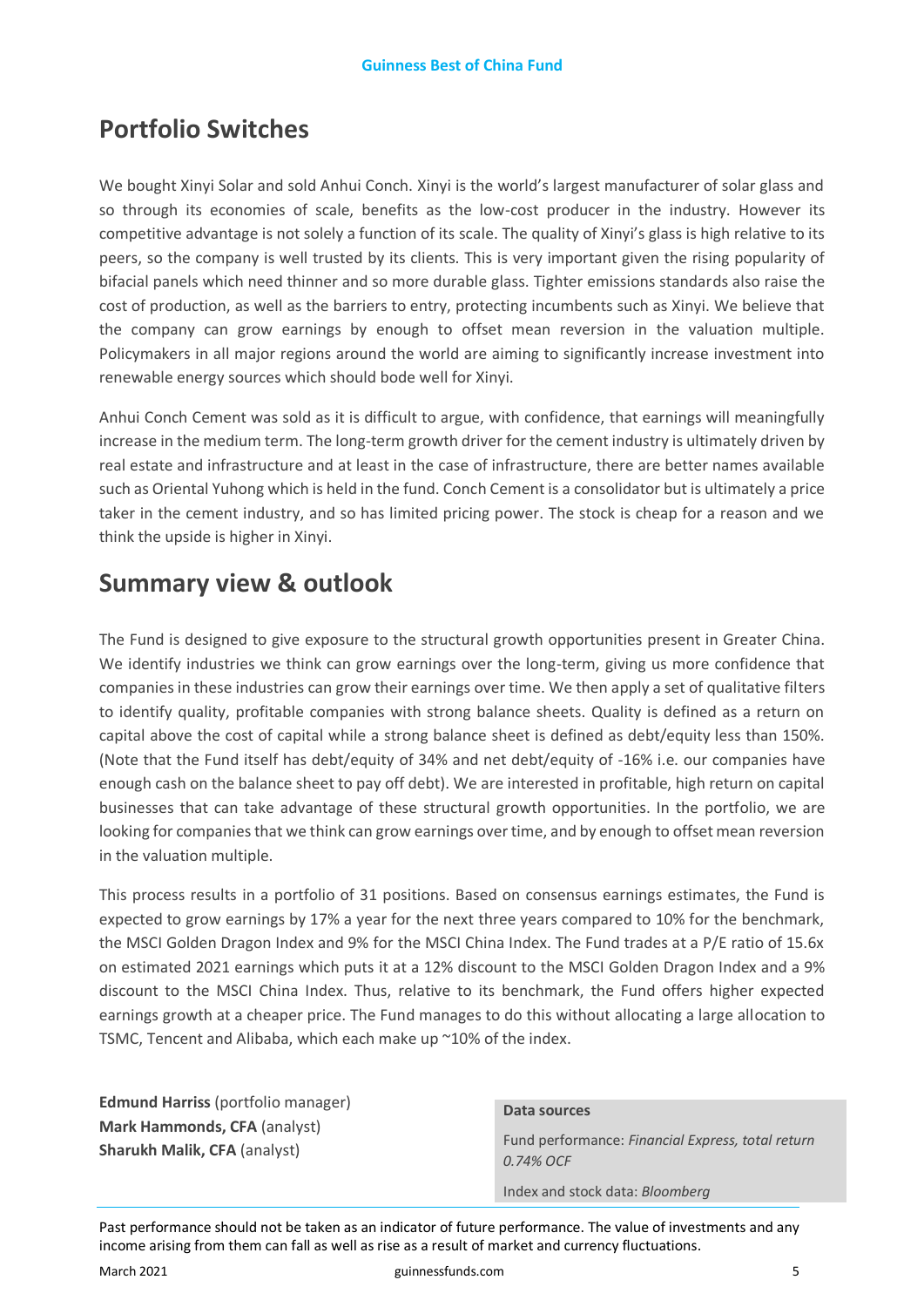# **Portfolio Switches**

We bought Xinyi Solar and sold Anhui Conch. Xinyi is the world's largest manufacturer of solar glass and so through its economies of scale, benefits as the low-cost producer in the industry. However its competitive advantage is not solely a function of its scale. The quality of Xinyi's glass is high relative to its peers, so the company is well trusted by its clients. This is very important given the rising popularity of bifacial panels which need thinner and so more durable glass. Tighter emissions standards also raise the cost of production, as well as the barriers to entry, protecting incumbents such as Xinyi. We believe that the company can grow earnings by enough to offset mean reversion in the valuation multiple. Policymakers in all major regions around the world are aiming to significantly increase investment into renewable energy sources which should bode well for Xinyi.

Anhui Conch Cement was sold as it is difficult to argue, with confidence, that earnings will meaningfully increase in the medium term. The long-term growth driver for the cement industry is ultimately driven by real estate and infrastructure and at least in the case of infrastructure, there are better names available such as Oriental Yuhong which is held in the fund. Conch Cement is a consolidator but is ultimately a price taker in the cement industry, and so has limited pricing power. The stock is cheap for a reason and we think the upside is higher in Xinyi.

# **Summary view & outlook**

The Fund is designed to give exposure to the structural growth opportunities present in Greater China. We identify industries we think can grow earnings over the long-term, giving us more confidence that companies in these industries can grow their earnings over time. We then apply a set of qualitative filters to identify quality, profitable companies with strong balance sheets. Quality is defined as a return on capital above the cost of capital while a strong balance sheet is defined as debt/equity less than 150%. (Note that the Fund itself has debt/equity of 34% and net debt/equity of -16% i.e. our companies have enough cash on the balance sheet to pay off debt). We are interested in profitable, high return on capital businesses that can take advantage of these structural growth opportunities. In the portfolio, we are looking for companies that we think can grow earnings over time, and by enough to offset mean reversion in the valuation multiple.

This process results in a portfolio of 31 positions. Based on consensus earnings estimates, the Fund is expected to grow earnings by 17% a year for the next three years compared to 10% for the benchmark, the MSCI Golden Dragon Index and 9% for the MSCI China Index. The Fund trades at a P/E ratio of 15.6x on estimated 2021 earnings which puts it at a 12% discount to the MSCI Golden Dragon Index and a 9% discount to the MSCI China Index. Thus, relative to its benchmark, the Fund offers higher expected earnings growth at a cheaper price. The Fund manages to do this without allocating a large allocation to TSMC, Tencent and Alibaba, which each make up ~10% of the index.

**Edmund Harriss** (portfolio manager) **Mark Hammonds, CFA** (analyst) **Sharukh Malik, CFA** (analyst)

#### **Data sources**

Fund performance: *Financial Express, total return 0.74% OCF*

Index and stock data: *Bloomberg*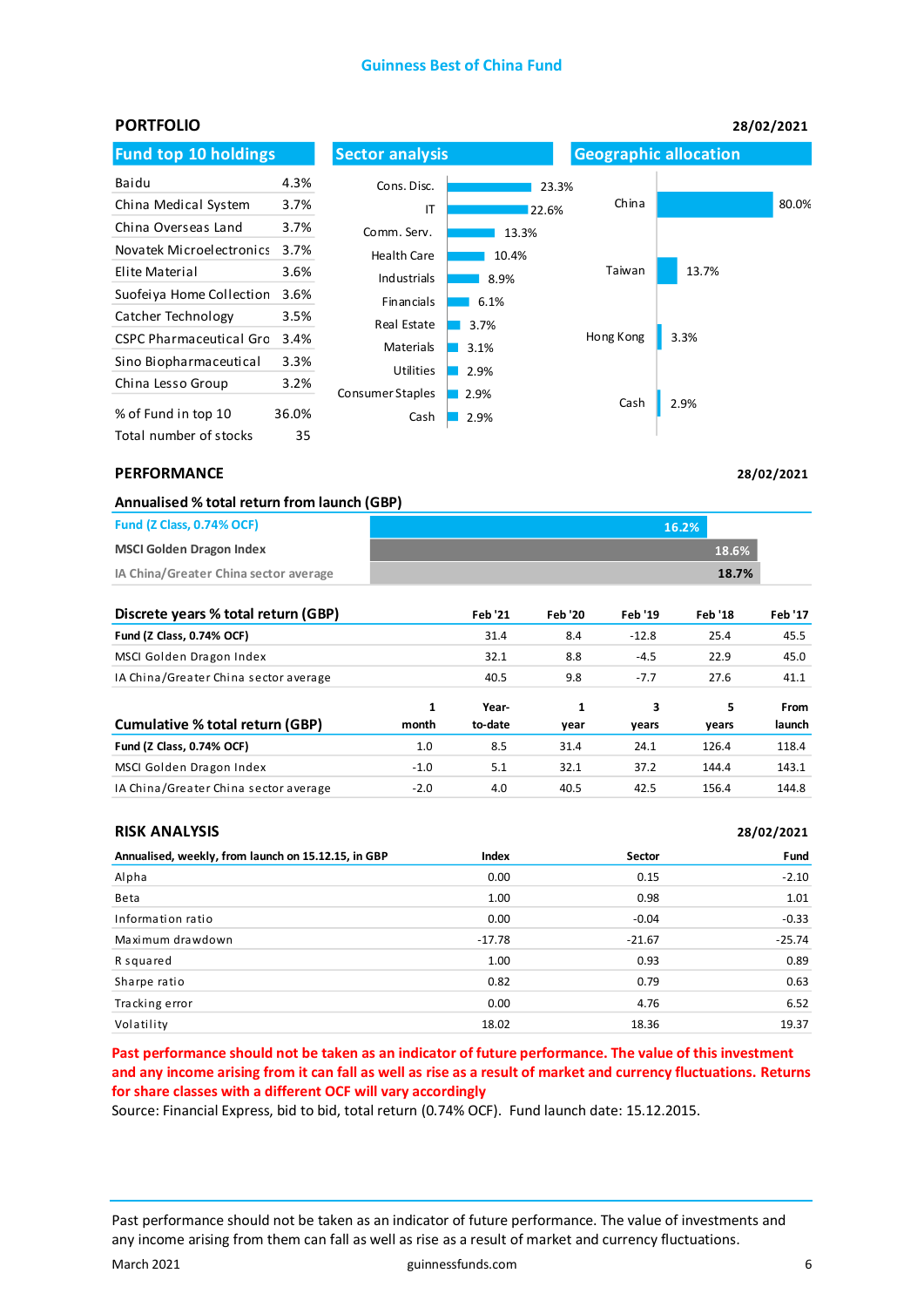#### **Guinness Best of China Fund**

| <b>PORTFOLIO</b>               |       |                          |              |                              |       | 28/02/2021 |
|--------------------------------|-------|--------------------------|--------------|------------------------------|-------|------------|
| <b>Fund top 10 holdings</b>    |       | <b>Sector analysis</b>   |              | <b>Geographic allocation</b> |       |            |
| Baidu                          | 4.3%  | Cons. Disc.              | 23.3%        |                              |       |            |
| China Medical System           | 3.7%  | IT                       | 22.6%        | China                        |       | 80.0%      |
| China Overseas Land            | 3.7%  | Comm. Serv.              | 13.3%        |                              |       |            |
| Novatek Microelectronics       | 3.7%  | <b>Health Care</b>       | 10.4%        |                              |       |            |
| Elite Material                 | 3.6%  | Industrials              | 8.9%         | Taiwan                       | 13.7% |            |
| Suofeiya Home Collection       | 3.6%  | Financials               | 6.1%         |                              |       |            |
| Catcher Technology             | 3.5%  | Real Estate              | 3.7%         |                              |       |            |
| <b>CSPC Pharmaceutical Gro</b> | 3.4%  | Materials                | 3.1%         | Hong Kong                    | 3.3%  |            |
| Sino Biopharmaceutical         | 3.3%  | <b>Utilities</b>         | 2.9%         |                              |       |            |
| China Lesso Group              | 3.2%  |                          |              |                              |       |            |
| % of Fund in top 10            | 36.0% | Consumer Staples<br>Cash | 2.9%<br>2.9% | Cash                         | 2.9%  |            |
| Total number of stocks         | 35    |                          |              |                              |       |            |

#### **PERFORMANCE**

**28/02/2021**

| Annualised % total return from launch (GBP) |  |  |  |  |
|---------------------------------------------|--|--|--|--|
|---------------------------------------------|--|--|--|--|

| <b>Fund (Z Class, 0.74% OCF)</b>      | 16.2% |              |
|---------------------------------------|-------|--------------|
| <b>MSCI Golden Dragon Index</b>       |       | <b>18.6%</b> |
| IA China/Greater China sector average |       | 18.7%        |

| Discrete years % total return (GBP)   |            | <b>Feb '21</b>   | <b>Feb '20</b> | <b>Feb '19</b> | <b>Feb '18</b> | <b>Feb '17</b> |
|---------------------------------------|------------|------------------|----------------|----------------|----------------|----------------|
| Fund (Z Class, 0.74% OCF)             |            | 31.4             | 8.4            | $-12.8$        | 25.4           | 45.5           |
| MSCI Golden Dragon Index              |            | 32.1             | 8.8            | $-4.5$         | 22.9           | 45.0           |
| IA China/Greater China sector average |            | 40.5             | 9.8            | $-7.7$         | 27.6           | 41.1           |
| Cumulative % total return (GBP)       | 1<br>month | Year-<br>to-date | 1<br>year      | 3<br>vears     | 5<br>vears     | From<br>launch |
| Fund (Z Class, 0.74% OCF)             | 1.0        | 8.5              | 31.4           | 24.1           | 126.4          | 118.4          |
| MSCI Golden Dragon Index              | $-1.0$     | 5.1              | 32.1           | 37.2           | 144.4          | 143.1          |
| IA China/Greater China sector average | $-2.0$     | 4.0              | 40.5           | 42.5           | 156.4          | 144.8          |

#### **RISK ANALYSIS**

| <b>RISK ANALYSIS</b>                                |          |          | 28/02/2021 |
|-----------------------------------------------------|----------|----------|------------|
| Annualised, weekly, from launch on 15.12.15, in GBP | Index    | Sector   | Fund       |
| Alpha                                               | 0.00     | 0.15     | $-2.10$    |
| Beta                                                | 1.00     | 0.98     | 1.01       |
| Information ratio                                   | 0.00     | $-0.04$  | $-0.33$    |
| Maximum drawdown                                    | $-17.78$ | $-21.67$ | $-25.74$   |
| R squared                                           | 1.00     | 0.93     | 0.89       |
| Sharpe ratio                                        | 0.82     | 0.79     | 0.63       |
| Tracking error                                      | 0.00     | 4.76     | 6.52       |
| Volatility                                          | 18.02    | 18.36    | 19.37      |

**Past performance should not be taken as an indicator of future performance. The value of this investment and any income arising from it can fall as well as rise as a result of market and currency fluctuations. Returns for share classes with a different OCF will vary accordingly**

Source: Financial Express, bid to bid, total return (0.74% OCF). Fund launch date: 15.12.2015.